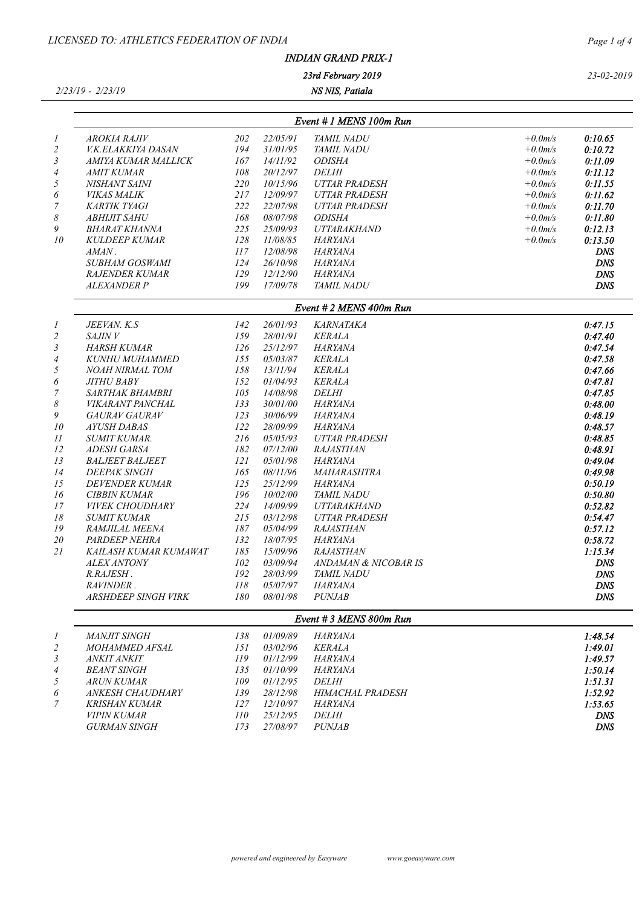|--|

## *2/23/19 - 2/23/19*

*NS NIS, Patiala 23rd February 2019*

|    |                           | Event # 1 MENS 100m Run |          |                           |           |            |  |  |  |  |
|----|---------------------------|-------------------------|----------|---------------------------|-----------|------------|--|--|--|--|
|    | AROKIA RAJIV              | 202                     | 22/05/91 | <i>TAMIL NADU</i>         | $+0.0m/s$ | 0:10.65    |  |  |  |  |
|    | <i>V.K.ELAKKIYA DASAN</i> | 194                     | 31/01/95 | <b>TAMIL NADU</b>         | $+0.0m/s$ | 0:10.72    |  |  |  |  |
| 3  | AMIYA KUMAR MALLICK       | 167                     | 14/11/92 | <i><b>ODISHA</b></i>      | $+0.0m/s$ | 0:11.09    |  |  |  |  |
| 4  | <i>AMIT KUMAR</i>         | 108                     | 20/12/97 | <i>DELHI</i>              | $+0.0m/s$ | 0:11.12    |  |  |  |  |
| 5  | NISHANT SAINI             | <i>220</i>              | 10/15/96 | <b>UTTAR PRADESH</b>      | $+0.0m/s$ | 0:11.55    |  |  |  |  |
| 6  | <i>VIKAS MALIK</i>        | 217                     | 12/09/97 | UTTAR PRADESH             | $+0.0m/s$ | 0:11.62    |  |  |  |  |
| 7  | KARTIK TYAGI              | 222                     | 22/07/98 | UTTAR PRADESH             | $+0.0m/s$ | 0:11.70    |  |  |  |  |
| 8  | <i>ABHIJIT SAHU</i>       | 168                     | 08/07/98 | <i><b>ODISHA</b></i>      | $+0.0m/s$ | 0:11.80    |  |  |  |  |
| 9  | BHARAT KHANNA             | 225                     | 25/09/93 | <i><b>UTTARAKHAND</b></i> | $+0.0m/s$ | 0:12.13    |  |  |  |  |
| 10 | <b>KULDEEP KUMAR</b>      | 128                     | 11/08/85 | HARYANA                   | $+0.0m/s$ | 0:13.50    |  |  |  |  |
|    | AMAN.                     | 117                     | 12/08/98 | <b>HARYANA</b>            |           | <b>DNS</b> |  |  |  |  |
|    | SUBHAM GOSWAMI            | 124                     | 26/10/98 | HARYANA                   |           | DNS        |  |  |  |  |
|    | <b>RAJENDER KUMAR</b>     | 129                     | 12/12/90 | HARYANA                   |           | DNS        |  |  |  |  |
|    | <i>ALEXANDER P</i>        | 199                     | 17/09/78 | <b>TAMIL NADU</b>         |           | DNS        |  |  |  |  |

|                | JEEVAN. K.S                | 142 | 26/01/93 | KARNATAKA                   | 0:47.15    |
|----------------|----------------------------|-----|----------|-----------------------------|------------|
| $\overline{c}$ | <i>SAJIN V</i>             | 159 | 28/01/91 | <b>KERALA</b>               | 0:47.40    |
| 3              | HARSH KUMAR                | 126 | 25/12/97 | HARYANA                     | 0:47.54    |
| 4              | KUNHU MUHAMMED             | 155 | 05/03/87 | <b>KERALA</b>               | 0:47.58    |
| 5              | NOAH NIRMAL TOM            | 158 | 13/11/94 | <b>KERALA</b>               | 0:47.66    |
| 6              | <i>JITHU BABY</i>          | 152 | 01/04/93 | <b>KERALA</b>               | 0:47.81    |
| 7              | <i>SARTHAK BHAMBRI</i>     | 105 | 14/08/98 | <i>DELHI</i>                | 0:47.85    |
| 8              | <i>VIKARANT PANCHAL</i>    | 133 | 30/01/00 | <b>HARYANA</b>              | 0:48.00    |
| 9              | <b>GAURAV GAURAV</b>       | 123 | 30/06/99 | HARYANA                     | 0:48.19    |
| 10             | <i>AYUSH DABAS</i>         | 122 | 28/09/99 | HARYANA                     | 0:48.57    |
| 11             | SUMIT KUMAR.               | 216 | 05/05/93 | <i><b>UTTAR PRADESH</b></i> | 0:48.85    |
| 12             | <i>ADESH GARSA</i>         | 182 | 07/12/00 | <i>RAJASTHAN</i>            | 0:48.91    |
| 13             | <b>BALJEET BALJEET</b>     | 121 | 05/01/98 | HARYANA                     | 0:49.04    |
| 14             | <b>DEEPAK SINGH</b>        | 165 | 08/11/96 | <i><b>MAHARASHTRA</b></i>   | 0:49.98    |
| 15             | DEVENDER KUMAR             | 125 | 25/12/99 | HARYANA                     | 0:50.19    |
| 16             | <b>CIBBIN KUMAR</b>        | 196 | 10/02/00 | <i>TAMIL NADU</i>           | 0:50.80    |
| 17             | <i>VIVEK CHOUDHARY</i>     | 224 | 14/09/99 | <b>UTTARAKHAND</b>          | 0:52.82    |
| 18             | <i>SUMIT KUMAR</i>         | 215 | 03/12/98 | <b>UTTAR PRADESH</b>        | 0:54.47    |
| 19             | RAMJILAL MEENA             | 187 | 05/04/99 | <b>RAJASTHAN</b>            | 0:57.12    |
| 20             | PARDEEP NEHRA              | 132 | 18/07/95 | HARYANA                     | 0:58.72    |
| 21             | KAILASH KUMAR KUMAWAT      | 185 | 15/09/96 | <b>RAJASTHAN</b>            | 1:15.34    |
|                | <b>ALEX ANTONY</b>         | 102 | 03/09/94 | ANDAMAN & NICOBAR IS        | <b>DNS</b> |
|                | R.RAJESH.                  | 192 | 28/03/99 | <i>TAMIL NADU</i>           | <b>DNS</b> |
|                | RAVINDER.                  | 118 | 05/07/97 | HARYANA                     | <b>DNS</b> |
|                | <b>ARSHDEEP SINGH VIRK</b> | 180 | 08/01/98 | <b>PUNJAB</b>               | <b>DNS</b> |
|                |                            |     |          |                             |            |

|                |                         |     |          | Event # 3 MENS 800m Run |         |
|----------------|-------------------------|-----|----------|-------------------------|---------|
|                | <i>MANJIT SINGH</i>     | 138 | 01/09/89 | HARYANA                 | 1:48.54 |
| 2              | <i>MOHAMMED AFSAL</i>   | 151 | 03/02/96 | KERALA                  | 1:49.01 |
| 3              | <i>ANKIT ANKIT</i>      | 119 | 01/12/99 | HARYANA                 | 1:49.57 |
| $\overline{4}$ | <i>BEANT SINGH</i>      | 135 | 01/10/99 | HARYANA                 | 1:50.14 |
| 5              | <i>ARUN KUMAR</i>       | 109 | 01/12/95 | DELHI                   | 1:51.31 |
| 6              | <i>ANKESH CHAUDHARY</i> | 139 | 28/12/98 | HIMACHAL PRADESH        | 1:52.92 |
| 7              | KRISHAN KUMAR           | 127 | 12/10/97 | HARYANA                 | 1:53.65 |
|                | <i>VIPIN KUMAR</i>      | 110 | 25/12/95 | DELHI                   | DNS     |
|                | <i>GURMAN SINGH</i>     | 173 | 27/08/97 | <i>PUNJAB</i>           | DNS     |
|                |                         |     |          |                         |         |

*Page 1 of 4*

*23-02-2019*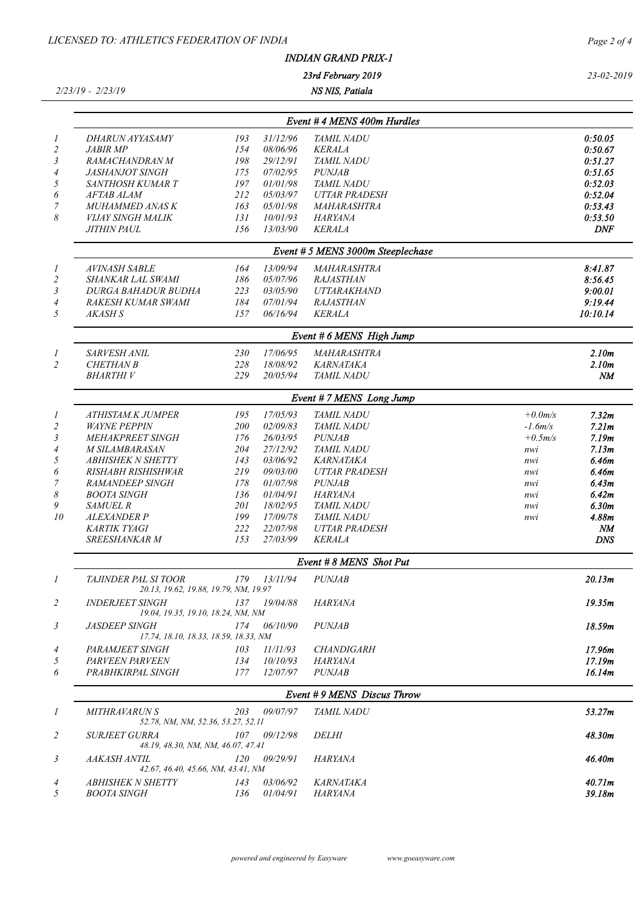|                       | LICENSED TO: ATHLETICS FEDERATION OF INDIA                    |            | Page 2 of 4          |                                         |           |                   |
|-----------------------|---------------------------------------------------------------|------------|----------------------|-----------------------------------------|-----------|-------------------|
|                       |                                                               |            |                      |                                         |           |                   |
|                       |                                                               |            |                      | 23rd February 2019                      |           | 23-02-2019        |
|                       | $2/23/19 - 2/23/19$                                           |            |                      |                                         |           |                   |
|                       |                                                               |            |                      | Event # 4 MENS 400m Hurdles             |           |                   |
| 1                     | DHARUN AYYASAMY                                               | 193        | 31/12/96             | <b>TAMIL NADU</b>                       |           | 0:50.05           |
| $\overline{c}$        | <b>JABIR MP</b>                                               | 154        | 08/06/96             | <b>KERALA</b>                           |           | 0:50.67           |
| $\mathfrak{Z}$        | RAMACHANDRAN M                                                | 198        | 29/12/91             | <b>TAMIL NADU</b>                       |           | 0:51.27           |
| $\overline{4}$        | <b>JASHANJOT SINGH</b>                                        | 175        | 07/02/95             | <b>PUNJAB</b>                           |           | 0:51.65           |
| 5                     | SANTHOSH KUMAR T                                              | 197        | 01/01/98             | <b>TAMIL NADU</b>                       |           | 0:52.03           |
| 6                     | <b>AFTAB ALAM</b>                                             | 212        | 05/03/97             | <b>UTTAR PRADESH</b>                    |           | 0:52.04           |
| 7                     | <b>MUHAMMED ANAS K</b>                                        | 163        | 05/01/98             | <b>MAHARASHTRA</b>                      |           | 0:53.43           |
| 8                     | <b>VIJAY SINGH MALIK</b>                                      | 131        | 10/01/93             | HARYANA                                 |           | 0:53.50           |
|                       | <b>JITHIN PAUL</b>                                            | 156        | 13/03/90             | <b>KERALA</b>                           |           | <b>DNF</b>        |
|                       |                                                               |            |                      | Event # 5 MENS 3000m Steeplechase       |           |                   |
| $\boldsymbol{l}$      | <b>AVINASH SABLE</b>                                          | 164        | 13/09/94             | <b>MAHARASHTRA</b>                      |           | 8:41.87           |
| $\overline{c}$        | SHANKAR LAL SWAMI                                             | 186        | 05/07/96             | <b>RAJASTHAN</b>                        |           | 8:56.45           |
| $\mathfrak{Z}$        | <b>DURGA BAHADUR BUDHA</b>                                    | 223        | 03/05/90             | <b>UTTARAKHAND</b>                      |           | 9:00.01           |
| $\overline{4}$<br>5   | RAKESH KUMAR SWAMI                                            | 184        | 07/01/94             | <b>RAJASTHAN</b>                        |           | 9:19.44           |
|                       | AKASH S                                                       | 157        | 06/16/94             | <b>KERALA</b>                           |           | 10:10.14          |
|                       |                                                               |            |                      | Event # 6 MENS High Jump                |           |                   |
| $\overline{I}$        | SARVESH ANIL                                                  | 230        | 17/06/95             | MAHARASHTRA                             |           | 2.10m             |
| 2                     | <b>CHETHAN B</b>                                              | 228        | 18/08/92             | <b>KARNATAKA</b>                        |           | 2.10m             |
|                       | <b>BHARTHIV</b>                                               | 229        | 20/05/94             | <b>TAMIL NADU</b>                       |           | $N\!M$            |
|                       |                                                               |            |                      | Event # 7 MENS Long Jump                |           |                   |
|                       | ATHISTAM.K JUMPER                                             | 195        | 17/05/93             | TAMIL NADU                              | $+0.0m/s$ | 7.32m             |
|                       | <b>WAYNE PEPPIN</b>                                           | 200        | 02/09/83             | TAMIL NADU                              | $-1.6m/s$ | 7.21 <sub>m</sub> |
|                       | <b>MEHAKPREET SINGH</b>                                       | 176        | 26/03/95             | <b>PUNJAB</b>                           | $+0.5m/s$ | 7.19m             |
|                       | <b>M SILAMBARASAN</b>                                         | 204        | 27/12/92             | <b>TAMIL NADU</b>                       | nwi       | 7.13m             |
|                       | <b>ABHISHEK N SHETTY</b>                                      | 143        | 03/06/92             | <b>KARNATAKA</b>                        | nwi       | 6.46m             |
|                       | RISHABH RISHISHWAR                                            | 219        | 09/03/00             | <b>UTTAR PRADESH</b>                    | nwi       | 6.46m             |
|                       | <b>RAMANDEEP SINGH</b>                                        | 178        | 01/07/98             | <b>PUNJAB</b>                           | nwi       | 6.43m             |
| $\boldsymbol{\delta}$ | <b>BOOTA SINGH</b>                                            | 136        | 01/04/91             | HARYANA                                 | nwi       | 6.42m             |
| 9                     | <b>SAMUEL R</b>                                               | 201        | 18/02/95             | <i>TAMIL NADU</i>                       | nwi       | 6.30 <sub>m</sub> |
| 10                    | <i>ALEXANDER P</i>                                            | 199        | 17/09/78             | <b>TAMIL NADU</b>                       | nwi       | 4.88m             |
|                       | KARTIK TYAGI<br>SREESHANKAR M                                 | 222<br>153 | 22/07/98<br>27/03/99 | UTTAR PRADESH<br><b>KERALA</b>          |           | NМ<br><b>DNS</b>  |
|                       |                                                               |            |                      |                                         |           |                   |
|                       | TAJINDER PAL SI TOOR                                          |            | $179$ $13/11/94$     | Event #8 MENS Shot Put<br><b>PUNJAB</b> |           | 20.13m            |
| $\boldsymbol{l}$      | 20.13, 19.62, 19.88, 19.79, NM, 19.97                         |            |                      |                                         |           |                   |
| 2                     | <b>INDERJEET SINGH</b><br>19.04, 19.35, 19.10, 18.24, NM, NM  |            | 137 19/04/88         | HARYANA                                 |           | 19.35m            |
| 3                     | <i>JASDEEP SINGH</i><br>17.74, 18.10, 18.33, 18.59, 18.33, NM |            | $174$ 06/10/90       | <i>PUNJAB</i>                           |           | 18.59m            |
| 4                     | PARAMJEET SINGH                                               |            | 103 11/11/93         | CHANDIGARH                              |           | 17.96m            |
| 5                     | PARVEEN PARVEEN                                               |            | $134$ $10/10/93$     | HARYANA                                 |           | 17.19m            |
| 6                     | PRABHKIRPAL SINGH                                             | 177        | 12/07/97             | <b>PUNJAB</b>                           |           | 16.14m            |
|                       |                                                               |            |                      | Event #9 MENS Discus Throw              |           |                   |
| $\boldsymbol{l}$      | <i>MITHRAVARUN S</i><br>52.78, NM, NM, 52.36, 53.27, 52.11    |            | 203 09/07/97         | <b>TAMIL NADU</b>                       |           | 53.27m            |
| 2                     | SURJEET GURRA<br>48.19, 48.30, NM, NM, 46.07, 47.41           |            | $107$ $09/12/98$     | <i>DELHI</i>                            |           | 48.30m            |
| 3                     | AAKASH ANTIL<br>42.67, 46.40, 45.66, NM, 43.41, NM            |            | $120$ $09/29/91$     | HARYANA                                 |           | 46.40m            |
| $\overline{4}$        | ABHISHEK N SHETTY 143 03/06/92                                |            |                      | KARNATAKA                               |           | 40.71m            |

*5 BOOTA SINGH 136 01/04/91 HARYANA 39.18m*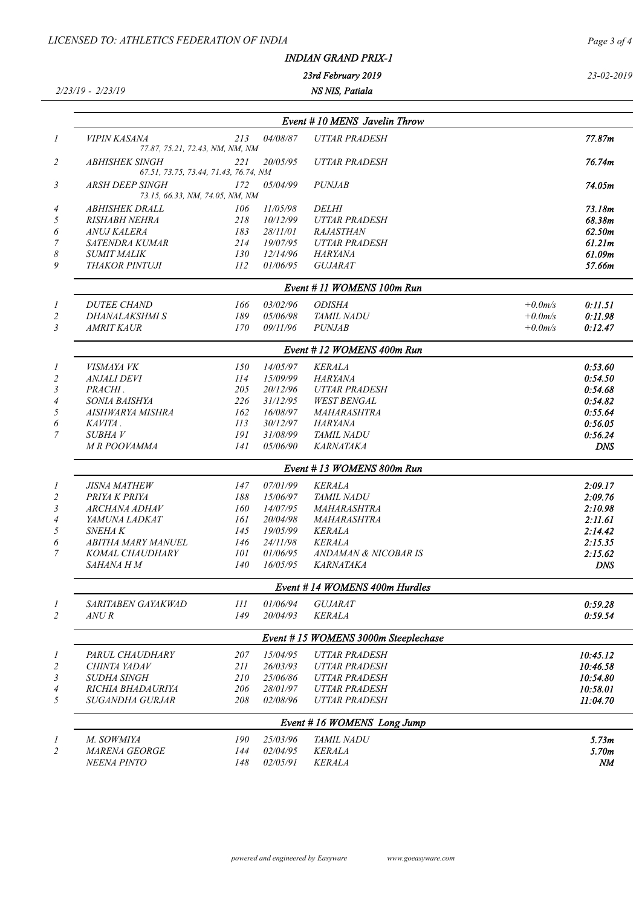## *INDIAN GRAND PRIX-1*

*23rd February 2019*

*2/23/19 - 2/23/19*

*NS NIS, Patiala*

*23-02-2019*

|                         |                                                                |     |          | Event #10 MENS Javelin Throw |            |            |
|-------------------------|----------------------------------------------------------------|-----|----------|------------------------------|------------|------------|
| 1                       | <b>VIPIN KASANA</b><br>77.87, 75.21, 72.43, NM, NM, NM         | 213 | 04/08/87 | <b>UTTAR PRADESH</b>         |            | 77.87m     |
| 2                       | <b>ABHISHEK SINGH</b><br>67.51, 73.75, 73.44, 71.43, 76.74, NM | 221 | 20/05/95 | <b>UTTAR PRADESH</b>         |            | 76.74m     |
| 3                       | <b>ARSH DEEP SINGH</b><br>73.15, 66.33, NM, 74.05, NM, NM      | 172 | 05/04/99 | <b>PUNJAB</b>                |            | 74.05m     |
| 4                       | <i><b>ABHISHEK DRALL</b></i>                                   | 106 | 11/05/98 | <i>DELHI</i>                 |            | 73.18m     |
| 5                       | <b>RISHABH NEHRA</b>                                           | 218 | 10/12/99 | <b>UTTAR PRADESH</b>         |            | 68.38m     |
| 6                       | <b>ANUJ KALERA</b>                                             | 183 | 28/11/01 | <b>RAJASTHAN</b>             |            | 62.50m     |
|                         | <b>SATENDRA KUMAR</b>                                          | 214 | 19/07/95 | <b>UTTAR PRADESH</b>         |            | 61.21m     |
| 8                       | <b>SUMIT MALIK</b>                                             | 130 | 12/14/96 | HARYANA                      |            | 61.09m     |
| 9                       | <b>THAKOR PINTUJI</b>                                          | 112 | 01/06/95 | <b>GUJARAT</b>               |            | 57.66m     |
|                         |                                                                |     |          | Event #11 WOMENS 100m Run    |            |            |
| 1                       | <b>DUTEE CHAND</b>                                             | 166 | 03/02/96 | <b>ODISHA</b>                | $+0.0m/s$  | 0:11.51    |
|                         | DHANALAKSHMI S                                                 | 189 | 05/06/98 | <b>TAMIL NADU</b>            | $+0.0$ m/s | 0:11.98    |
| 3                       | <b>AMRIT KAUR</b>                                              | 170 | 09/11/96 | <b>PUNJAB</b>                | $+0.0m/s$  | 0:12.47    |
|                         |                                                                |     |          | Event #12 WOMENS 400m Run    |            |            |
| 1                       | VISMAYA VK                                                     | 150 | 14/05/97 | <b>KERALA</b>                |            | 0:53.60    |
| $\overline{\mathbf{c}}$ | <b>ANJALI DEVI</b>                                             | 114 | 15/09/99 | HARYANA                      |            | 0:54.50    |
| 3                       | PRACHI.                                                        | 205 | 20/12/96 | <b>UTTAR PRADESH</b>         |            | 0:54.68    |
| 4                       | <i>SONIA BAISHYA</i>                                           | 226 | 31/12/95 | <b>WEST BENGAL</b>           |            | 0:54.82    |
| 5                       | AISHWARYA MISHRA                                               | 162 | 16/08/97 | MAHARASHTRA                  |            | 0:55.64    |
| 6                       | KAVITA.                                                        | 113 | 30/12/97 | <b>HARYANA</b>               |            | 0:56.05    |
| $\overline{7}$          | <i>SUBHAV</i>                                                  | 191 | 31/08/99 | TAMIL NADU                   |            | 0:56.24    |
|                         | M R POOVAMMA                                                   | 141 | 05/06/90 | <b>KARNATAKA</b>             |            | <b>DNS</b> |
|                         |                                                                |     |          | Event #13 WOMENS 800m Run    |            |            |
| 1                       | <b>JISNA MATHEW</b>                                            | 147 | 07/01/99 | <b>KERALA</b>                |            | 2:09.17    |
| $\overline{2}$          | PRIYA K PRIYA                                                  | 188 | 15/06/97 | <b>TAMIL NADU</b>            |            | 2:09.76    |
| 3                       | <b>ARCHANA ADHAV</b>                                           | 160 | 14/07/95 | <b>MAHARASHTRA</b>           |            | 2:10.98    |
| 4                       | YAMUNA LADKAT                                                  | 161 | 20/04/98 | <b>MAHARASHTRA</b>           |            | 2:11.61    |
| 5                       | <b>SNEHAK</b>                                                  | 145 | 19/05/99 | <b>KERALA</b>                |            | 2:14.42    |
| 6                       | <b>ABITHA MARY MANUEL</b>                                      | 146 | 24/11/98 | <b>KERALA</b>                |            | 2:15.35    |
| 7                       | KOMAL CHAUDHARY                                                | 101 | 01/06/95 | ANDAMAN & NICOBAR IS         |            | 2:15.62    |
|                         | SAHANA H M                                                     | 140 | 16/05/95 | <b>KARNATAKA</b>             |            | <b>DNS</b> |

*Event # 14 WOMENS 400m Hurdles SARITABEN GAYAKWAD 111 01/06/94 GUJARAT 0:59.28 ANU R 149 20/04/93 KERALA 0:59.54 Event # 15 WOMENS 3000m Steeplechase*

|                | PARUL CHAUDHARY          | 207 | 15/04/95 | <b>UTTAR PRADESH</b> | 10:45.12 |
|----------------|--------------------------|-----|----------|----------------------|----------|
| ∠              | CHINTA YADAV             | 211 | 26/03/93 | UTTAR PRADESH        | 10:46.58 |
| 3              | <i>SUDHA SINGH</i>       | 210 | 25/06/86 | UTTAR PRADESH        | 10:54.80 |
| $\overline{4}$ | <i>RICHIA BHADAURIYA</i> | 206 | 28/01/97 | UTTAR PRADESH        | 10:58.01 |
|                | SUGANDHA GURJAR          | 208 | 02/08/96 | <b>UTTAR PRADESH</b> | 11:04.70 |
|                |                          |     |          |                      |          |

|   | Event #16 WOMENS Long Jump  |     |          |                   |                   |  |  |  |
|---|-----------------------------|-----|----------|-------------------|-------------------|--|--|--|
|   | M. SOWMIYA                  | 190 | 25/03/96 | <b>TAMIL NADU</b> | 5.73m             |  |  |  |
| ∸ | <i><b>MARENA GEORGE</b></i> | 144 | 02/04/95 | <i>KERALA</i>     | 5.70 <sub>m</sub> |  |  |  |
|   | <i>NEENA PINTO</i>          | 148 | 02/05/91 | <i>KERALA</i>     | NM                |  |  |  |
|   |                             |     |          |                   |                   |  |  |  |